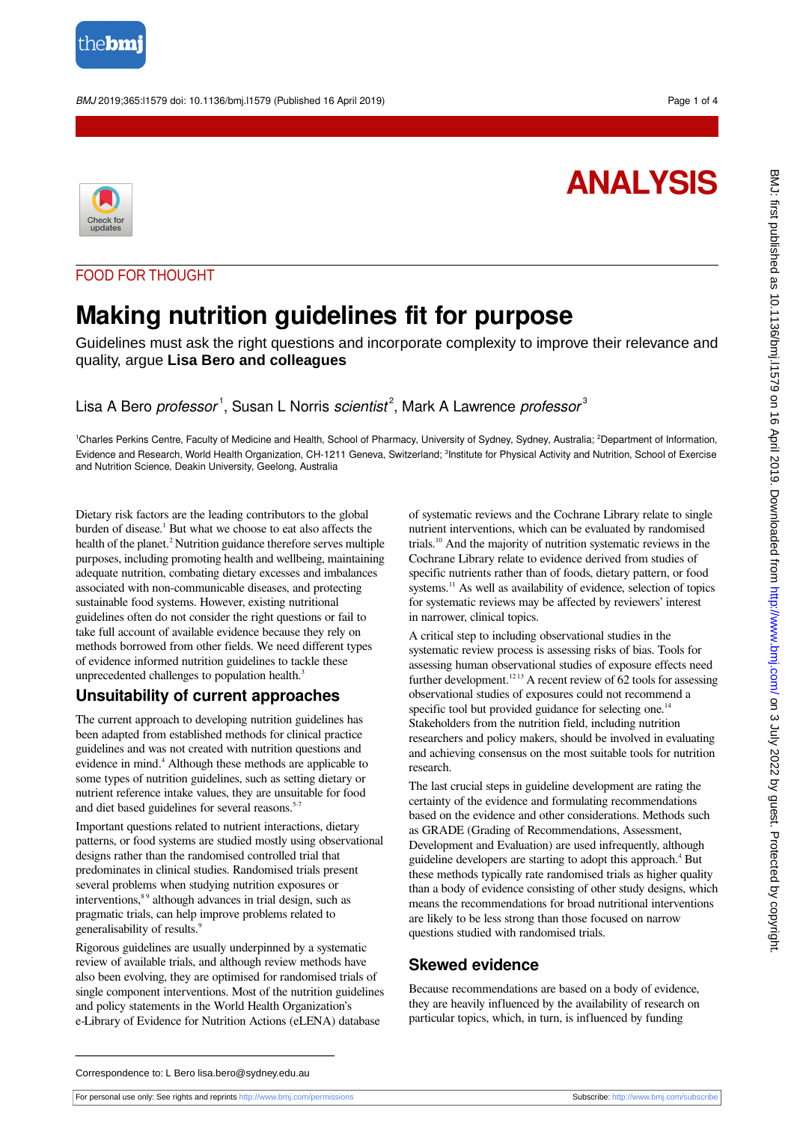

#### BMJ 2019;365:l1579 doi: 10.1136/bmj.l1579 (Published 16 April 2019) Page 1 of 4

# **ANALYSIS**



#### FOOD FOR THOUGHT

## **Making nutrition guidelines fit for purpose**

Guidelines must ask the right questions and incorporate complexity to improve their relevance and quality, argue **Lisa Bero and colleagues**

## Lisa A Bero professor<sup>1</sup>, Susan L Norris scientist<sup>2</sup>, Mark A Lawrence professor<sup>3</sup>

<sup>1</sup>Charles Perkins Centre, Faculty of Medicine and Health, School of Pharmacy, University of Sydney, Sydney, Australia; <sup>2</sup>Department of Information, Evidence and Research, World Health Organization, CH-1211 Geneva, Switzerland; <sup>3</sup>Institute for Physical Activity and Nutrition, School of Exercise and Nutrition Science, Deakin University, Geelong, Australia

Dietary risk factors are the leading contributors to the global burden of disease.<sup>1</sup> But what we choose to eat also affects the health of the planet.<sup>2</sup> Nutrition guidance therefore serves multiple purposes, including promoting health and wellbeing, maintaining adequate nutrition, combating dietary excesses and imbalances associated with non-communicable diseases, and protecting sustainable food systems. However, existing nutritional guidelines often do not consider the right questions or fail to take full account of available evidence because they rely on methods borrowed from other fields. We need different types of evidence informed nutrition guidelines to tackle these unprecedented challenges to population health.<sup>3</sup>

#### **Unsuitability of current approaches**

The current approach to developing nutrition guidelines has been adapted from established methods for clinical practice guidelines and was not created with nutrition questions and evidence in mind.<sup>4</sup> Although these methods are applicable to some types of nutrition guidelines, such as setting dietary or nutrient reference intake values, they are unsuitable for food and diet based guidelines for several reasons.<sup>5-7</sup>

Important questions related to nutrient interactions, dietary patterns, or food systems are studied mostly using observational designs rather than the randomised controlled trial that predominates in clinical studies. Randomised trials present several problems when studying nutrition exposures or interventions,<sup>89</sup> although advances in trial design, such as pragmatic trials, can help improve problems related to generalisability of results.<sup>9</sup>

Rigorous guidelines are usually underpinned by a systematic review of available trials, and although review methods have also been evolving, they are optimised for randomised trials of single component interventions. Most of the nutrition guidelines and policy statements in the World Health Organization's e-Library of Evidence for Nutrition Actions (eLENA) database

of systematic reviews and the Cochrane Library relate to single nutrient interventions, which can be evaluated by randomised trials.<sup>10</sup> And the majority of nutrition systematic reviews in the Cochrane Library relate to evidence derived from studies of specific nutrients rather than of foods, dietary pattern, or food systems.<sup>11</sup> As well as availability of evidence, selection of topics for systematic reviews may be affected by reviewers' interest in narrower, clinical topics.

A critical step to including observational studies in the systematic review process is assessing risks of bias. Tools for assessing human observational studies of exposure effects need further development.<sup>1213</sup> A recent review of  $62$  tools for assessing observational studies of exposures could not recommend a specific tool but provided guidance for selecting one.<sup>14</sup> Stakeholders from the nutrition field, including nutrition researchers and policy makers, should be involved in evaluating and achieving consensus on the most suitable tools for nutrition research.

The last crucial steps in guideline development are rating the certainty of the evidence and formulating recommendations based on the evidence and other considerations. Methods such as GRADE (Grading of Recommendations, Assessment, Development and Evaluation) are used infrequently, although guideline developers are starting to adopt this approach.<sup>4</sup> But these methods typically rate randomised trials as higher quality than a body of evidence consisting of other study designs, which means the recommendations for broad nutritional interventions are likely to be less strong than those focused on narrow questions studied with randomised trials.

#### **Skewed evidence**

Because recommendations are based on a body of evidence, they are heavily influenced by the availability of research on particular topics, which, in turn, is influenced by funding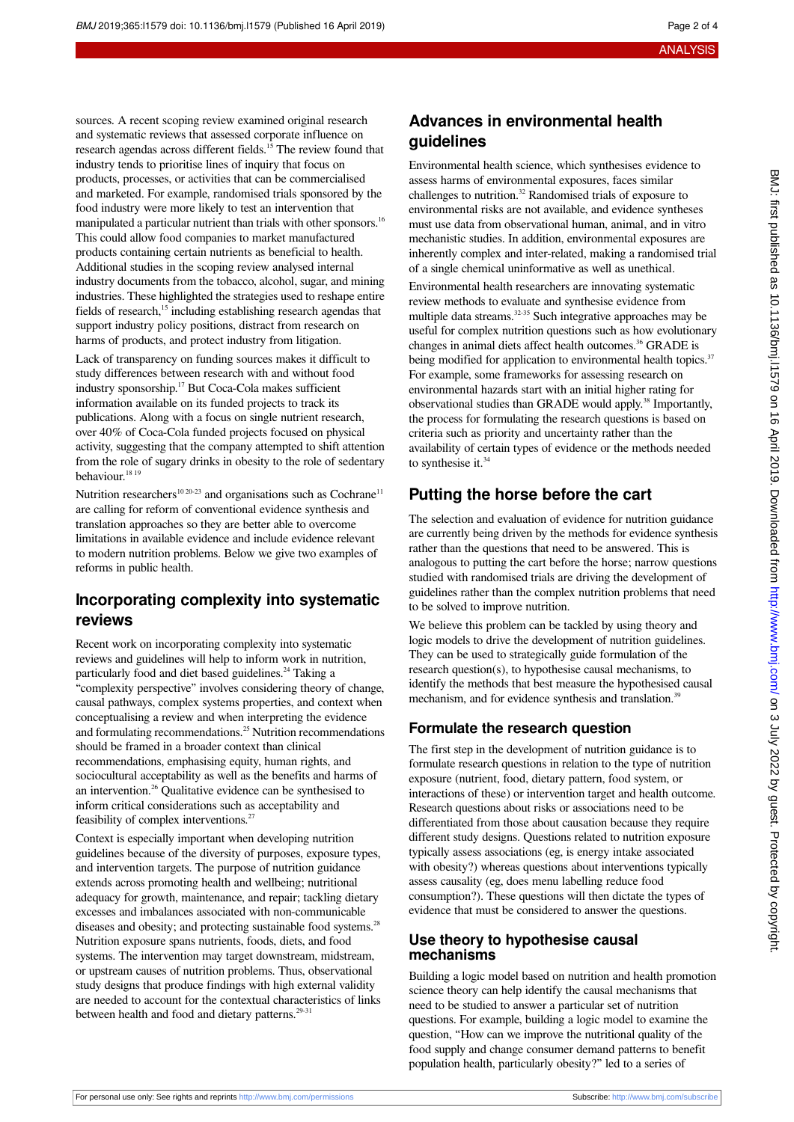sources. A recent scoping review examined original research and systematic reviews that assessed corporate influence on research agendas across different fields.<sup>15</sup> The review found that industry tends to prioritise lines of inquiry that focus on products, processes, or activities that can be commercialised and marketed. For example, randomised trials sponsored by the food industry were more likely to test an intervention that manipulated a particular nutrient than trials with other sponsors.<sup>16</sup> This could allow food companies to market manufactured products containing certain nutrients as beneficial to health. Additional studies in the scoping review analysed internal industry documents from the tobacco, alcohol, sugar, and mining industries. These highlighted the strategies used to reshape entire fields of research,<sup>15</sup> including establishing research agendas that support industry policy positions, distract from research on harms of products, and protect industry from litigation.

Lack of transparency on funding sources makes it difficult to study differences between research with and without food industry sponsorship.<sup>17</sup> But Coca-Cola makes sufficient information available on its funded projects to track its publications. Along with a focus on single nutrient research, over 40% of Coca-Cola funded projects focused on physical activity, suggesting that the company attempted to shift attention from the role of sugary drinks in obesity to the role of sedentary behaviour.<sup>18 19</sup>

Nutrition researchers<sup>10 20-23</sup> and organisations such as Cochrane<sup>11</sup> are calling for reform of conventional evidence synthesis and translation approaches so they are better able to overcome limitations in available evidence and include evidence relevant to modern nutrition problems. Below we give two examples of reforms in public health.

#### **Incorporating complexity into systematic reviews**

Recent work on incorporating complexity into systematic reviews and guidelines will help to inform work in nutrition, particularly food and diet based guidelines.<sup>24</sup> Taking a "complexity perspective" involves considering theory of change, causal pathways, complex systems properties, and context when conceptualising a review and when interpreting the evidence and formulating recommendations.<sup>25</sup> Nutrition recommendations should be framed in a broader context than clinical recommendations, emphasising equity, human rights, and sociocultural acceptability as well as the benefits and harms of an intervention.<sup>26</sup> Qualitative evidence can be synthesised to inform critical considerations such as acceptability and feasibility of complex interventions.<sup>27</sup>

Context is especially important when developing nutrition guidelines because of the diversity of purposes, exposure types, and intervention targets. The purpose of nutrition guidance extends across promoting health and wellbeing; nutritional adequacy for growth, maintenance, and repair; tackling dietary excesses and imbalances associated with non-communicable diseases and obesity; and protecting sustainable food systems.<sup>28</sup> Nutrition exposure spans nutrients, foods, diets, and food systems. The intervention may target downstream, midstream, or upstream causes of nutrition problems. Thus, observational study designs that produce findings with high external validity are needed to account for the contextual characteristics of links between health and food and dietary patterns.<sup>29-31</sup>

## **Advances in environmental health guidelines**

Environmental health science, which synthesises evidence to assess harms of environmental exposures, faces similar challenges to nutrition.<sup>32</sup> Randomised trials of exposure to environmental risks are not available, and evidence syntheses must use data from observational human, animal, and in vitro mechanistic studies. In addition, environmental exposures are inherently complex and inter-related, making a randomised trial of a single chemical uninformative as well as unethical.

Environmental health researchers are innovating systematic review methods to evaluate and synthesise evidence from multiple data streams.<sup>32-35</sup> Such integrative approaches may be useful for complex nutrition questions such as how evolutionary changes in animal diets affect health outcomes.<sup>36</sup> GRADE is being modified for application to environmental health topics.<sup>37</sup> For example, some frameworks for assessing research on environmental hazards start with an initial higher rating for observational studies than GRADE would apply.<sup>38</sup> Importantly, the process for formulating the research questions is based on criteria such as priority and uncertainty rather than the availability of certain types of evidence or the methods needed to synthesise it.<sup>34</sup>

## **Putting the horse before the cart**

The selection and evaluation of evidence for nutrition guidance are currently being driven by the methods for evidence synthesis rather than the questions that need to be answered. This is analogous to putting the cart before the horse; narrow questions studied with randomised trials are driving the development of guidelines rather than the complex nutrition problems that need to be solved to improve nutrition.

We believe this problem can be tackled by using theory and logic models to drive the development of nutrition guidelines. They can be used to strategically guide formulation of the research question(s), to hypothesise causal mechanisms, to identify the methods that best measure the hypothesised causal mechanism, and for evidence synthesis and translation.<sup>39</sup>

### **Formulate the research question**

The first step in the development of nutrition guidance is to formulate research questions in relation to the type of nutrition exposure (nutrient, food, dietary pattern, food system, or interactions of these) or intervention target and health outcome. Research questions about risks or associations need to be differentiated from those about causation because they require different study designs. Questions related to nutrition exposure typically assess associations (eg, is energy intake associated with obesity?) whereas questions about interventions typically assess causality (eg, does menu labelling reduce food consumption?). These questions will then dictate the types of evidence that must be considered to answer the questions.

#### **Use theory to hypothesise causal mechanisms**

Building a logic model based on nutrition and health promotion science theory can help identify the causal mechanisms that need to be studied to answer a particular set of nutrition questions. For example, building a logic model to examine the question, "How can we improve the nutritional quality of the food supply and change consumer demand patterns to benefit population health, particularly obesity?" led to a series of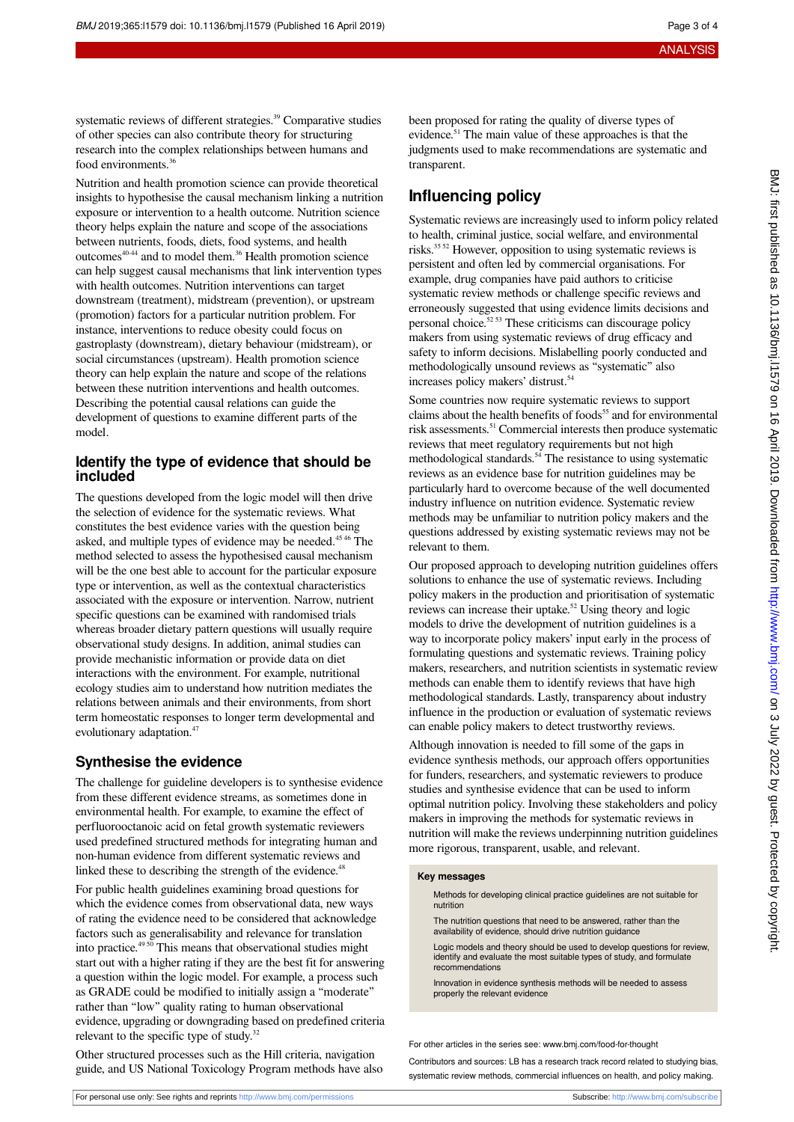systematic reviews of different strategies.<sup>39</sup> Comparative studies of other species can also contribute theory for structuring research into the complex relationships between humans and food environments.<sup>36</sup>

Nutrition and health promotion science can provide theoretical insights to hypothesise the causal mechanism linking a nutrition exposure or intervention to a health outcome. Nutrition science theory helps explain the nature and scope of the associations between nutrients, foods, diets, food systems, and health outcomes<sup>40-44</sup> and to model them.<sup>36</sup> Health promotion science can help suggest causal mechanisms that link intervention types with health outcomes. Nutrition interventions can target downstream (treatment), midstream (prevention), or upstream (promotion) factors for a particular nutrition problem. For instance, interventions to reduce obesity could focus on gastroplasty (downstream), dietary behaviour (midstream), or social circumstances (upstream). Health promotion science theory can help explain the nature and scope of the relations between these nutrition interventions and health outcomes. Describing the potential causal relations can guide the development of questions to examine different parts of the model.

#### **Identify the type of evidence that should be included**

The questions developed from the logic model will then drive the selection of evidence for the systematic reviews. What constitutes the best evidence varies with the question being asked, and multiple types of evidence may be needed.<sup>45 46</sup> The method selected to assess the hypothesised causal mechanism will be the one best able to account for the particular exposure type or intervention, as well as the contextual characteristics associated with the exposure or intervention. Narrow, nutrient specific questions can be examined with randomised trials whereas broader dietary pattern questions will usually require observational study designs. In addition, animal studies can provide mechanistic information or provide data on diet interactions with the environment. For example, nutritional ecology studies aim to understand how nutrition mediates the relations between animals and their environments, from short term homeostatic responses to longer term developmental and evolutionary adaptation.<sup>47</sup>

#### **Synthesise the evidence**

The challenge for guideline developers is to synthesise evidence from these different evidence streams, as sometimes done in environmental health. For example, to examine the effect of perfluorooctanoic acid on fetal growth systematic reviewers used predefined structured methods for integrating human and non-human evidence from different systematic reviews and linked these to describing the strength of the evidence.<sup>48</sup>

For public health guidelines examining broad questions for which the evidence comes from observational data, new ways of rating the evidence need to be considered that acknowledge factors such as generalisability and relevance for translation into practice. $49\frac{50}{10}$  This means that observational studies might start out with a higher rating if they are the best fit for answering a question within the logic model. For example, a process such as GRADE could be modified to initially assign a "moderate" rather than "low" quality rating to human observational evidence, upgrading or downgrading based on predefined criteria relevant to the specific type of study. $32$ 

Other structured processes such as the Hill criteria, navigation guide, and US National Toxicology Program methods have also

been proposed for rating the quality of diverse types of evidence.<sup>51</sup> The main value of these approaches is that the judgments used to make recommendations are systematic and transparent.

## **Influencing policy**

Systematic reviews are increasingly used to inform policy related to health, criminal justice, social welfare, and environmental risks.35 52 However, opposition to using systematic reviews is persistent and often led by commercial organisations. For example, drug companies have paid authors to criticise systematic review methods or challenge specific reviews and erroneously suggested that using evidence limits decisions and personal choice.<sup>52 53</sup> These criticisms can discourage policy makers from using systematic reviews of drug efficacy and safety to inform decisions. Mislabelling poorly conducted and methodologically unsound reviews as "systematic" also increases policy makers' distrust.<sup>54</sup>

Some countries now require systematic reviews to support claims about the health benefits of foods<sup>55</sup> and for environmental risk assessments.<sup>51</sup> Commercial interests then produce systematic reviews that meet regulatory requirements but not high methodological standards.<sup>54</sup> The resistance to using systematic reviews as an evidence base for nutrition guidelines may be particularly hard to overcome because of the well documented industry influence on nutrition evidence. Systematic review methods may be unfamiliar to nutrition policy makers and the questions addressed by existing systematic reviews may not be relevant to them.

Our proposed approach to developing nutrition guidelines offers solutions to enhance the use of systematic reviews. Including policy makers in the production and prioritisation of systematic reviews can increase their uptake.<sup>52</sup> Using theory and logic models to drive the development of nutrition guidelines is a way to incorporate policy makers' input early in the process of formulating questions and systematic reviews. Training policy makers, researchers, and nutrition scientists in systematic review methods can enable them to identify reviews that have high methodological standards. Lastly, transparency about industry influence in the production or evaluation of systematic reviews can enable policy makers to detect trustworthy reviews.

Although innovation is needed to fill some of the gaps in evidence synthesis methods, our approach offers opportunities for funders, researchers, and systematic reviewers to produce studies and synthesise evidence that can be used to inform optimal nutrition policy. Involving these stakeholders and policy makers in improving the methods for systematic reviews in nutrition will make the reviews underpinning nutrition guidelines more rigorous, transparent, usable, and relevant.

#### **Key messages**

Methods for developing clinical practice guidelines are not suitable for nutrition

The nutrition questions that need to be answered, rather than the availability of evidence, should drive nutrition guidance

Logic models and theory should be used to develop questions for review, identify and evaluate the most suitable types of study, and formulate recommendations

Innovation in evidence synthesis methods will be needed to assess properly the relevant evidence

For other articles in the series see: [www.bmj.com/food-for-thought](http://www.bmj.com/food-for-thought)

Contributors and sources: LB has a research track record related to studying bias, systematic review methods, commercial influences on health, and policy making.